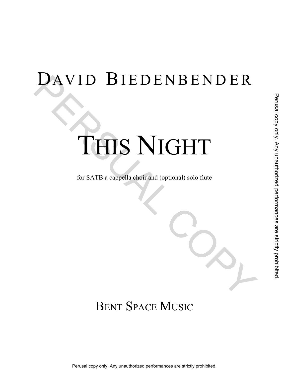# DAVID BIEDENBENDER

# THIS NIGHT DAVID BIEDENBENDER<br>
THIS NIGHT Perusal copy only. Any unauthorized performances are strictly prohibited.

for SATB a cappella choir and (optional) solo flute

## BENT SPACE MUSIC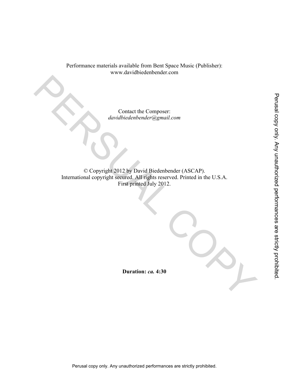Performance materials available from Bent Space Music (Publisher): www.davidbiedenbender.com

> Contact the Composer: *davidbiedenbender@gmail.com*

© Copyright 2012 by David Biedenbender (ASCAP). International copyright secured. All rights reserved. Printed in the U.S.A. First printed July 2012. Contact the Composer:<br>
davaibledenbender@gmail.com<br>
according to Converging 2012 by David Biedenbender (ASCAP),<br>
International copyright Street od, All Fights reserved. All Fights reserved. Finited in the U.S.A.<br>
Puration: Contact the Composer:<br>
davidbiedenbender@ganail.com<br>
exacts are copyright at Securical All Fights reserved. Printed in the U.S.A.<br>
First primed July 2012.<br>
First primed July 2012.<br>
Puration: ca. 4:30<br>
Puration: ca. 4:30<br>
P

**Duration:** *ca.* **4:30**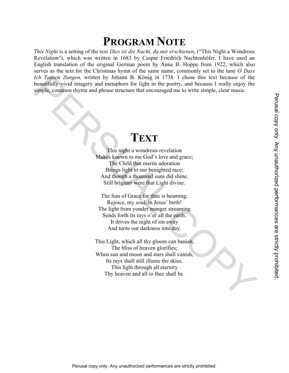### **PROGRAM NOTE**

*This Night* is a setting of the text *Dies ist die Nacht, da mir erschienen*, ("This Night a Wondrous Revelation"), which was written in 1683 by Caspar Friedrich Nachtenhöfer. I have used an English translation of the original German poem by Anna B. Hoppe from 1922, which also serves as the text for the Christmas hymn of the same name, commonly set to the tune *O Dass Ich Tausen Zungen,* written by Johann B. König in 1738. I chose this text because of the beautifully vivid imagery and metaphors for light in the poetry, and because I really enjoy the simple, common rhyme and phrase structure that encouraged me to write simple, clear music. For Tauscon Zurgen, written by Iohann B. König in 1738. I chose this text because of the<br>beautifully vival imagery and metaphors for light in the poerty, and because 1 really enjoy the<br>simple, common rhyme and phrase struc

### **TEXT**

This night a wondrous revelation Makes known to me God's love and grace; The Child that merits adoration Brings light to our benighted race; And though a thousand suns did shine, Still brighter were that Light divine.

The Sun of Grace for thee is beaming; Rejoice, my soul, in Jesus' birth! The light from yonder manger streaming Sends forth its rays o'er all the earth. It drives the night of sin away And turns our darkness into day.

This Light, which all thy gloom can banish, The bliss of heaven glorifies; When sun and moon and stars shall vanish, Its rays shall still illume the skies. This light through all eternity Thy heaven and all to thee shall be. **TEXT**<br>
This night a wondroots revelation<br>
Make known to me God 's love and graee;<br>
In from the God 's love and graee;<br>
And though a thousnad considerance:<br>
And though a thousnad considerance:<br>
Still brighter were that Li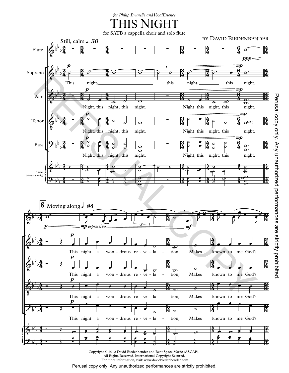THIS NIGHT *for Philip Brunelle and VocalEssence*

for SATB a cappella choir and solo flute



 $\alpha \approx 2012$  David Biedenbender and Bent Space Music ( All Rights Reserved. International Copyright Secured.<br>For more information, visit: www.davidbiedenbender.com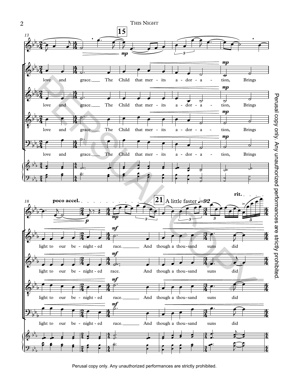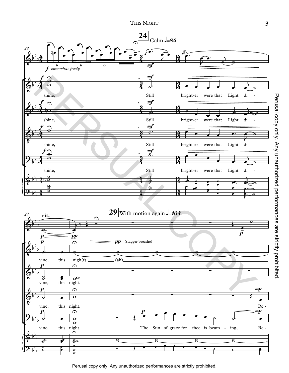THIS NIGHT



 $\Gamma$  3  $\overline{3}$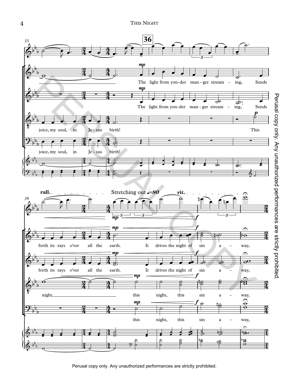THIS NIGHT

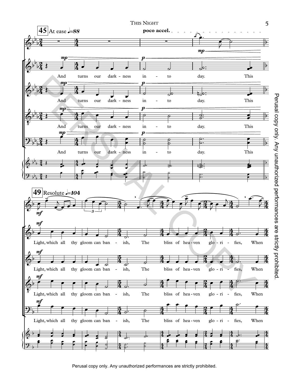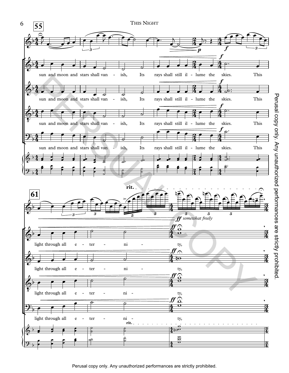